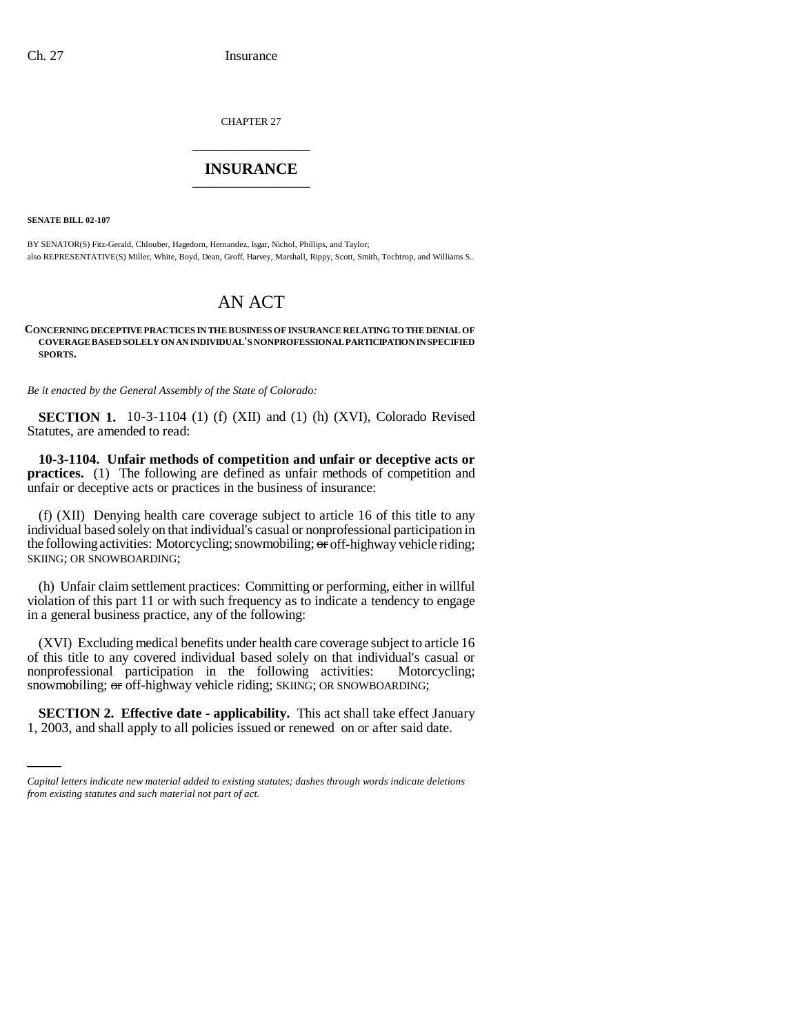CHAPTER 27 \_\_\_\_\_\_\_\_\_\_\_\_\_\_\_

## **INSURANCE** \_\_\_\_\_\_\_\_\_\_\_\_\_\_\_

**SENATE BILL 02-107**

BY SENATOR(S) Fitz-Gerald, Chlouber, Hagedorn, Hernandez, Isgar, Nichol, Phillips, and Taylor; also REPRESENTATIVE(S) Miller, White, Boyd, Dean, Groff, Harvey, Marshall, Rippy, Scott, Smith, Tochtrop, and Williams S..

## AN ACT

## **CONCERNING DECEPTIVE PRACTICES IN THE BUSINESS OF INSURANCE RELATING TO THE DENIAL OF COVERAGE BASED SOLELY ON AN INDIVIDUAL'S NONPROFESSIONAL PARTICIPATION IN SPECIFIED SPORTS.**

*Be it enacted by the General Assembly of the State of Colorado:*

**SECTION 1.** 10-3-1104 (1) (f) (XII) and (1) (h) (XVI), Colorado Revised Statutes, are amended to read:

**10-3-1104. Unfair methods of competition and unfair or deceptive acts or practices.** (1) The following are defined as unfair methods of competition and unfair or deceptive acts or practices in the business of insurance:

(f) (XII) Denying health care coverage subject to article 16 of this title to any individual based solely on that individual's casual or nonprofessional participation in the following activities: Motorcycling; snowmobiling; or off-highway vehicle riding; SKIING; OR SNOWBOARDING;

(h) Unfair claim settlement practices: Committing or performing, either in willful violation of this part 11 or with such frequency as to indicate a tendency to engage in a general business practice, any of the following:

(XVI) Excluding medical benefits under health care coverage subject to article 16 of this title to any covered individual based solely on that individual's casual or nonprofessional participation in the following activities: Motorcycling; snowmobiling; or off-highway vehicle riding; SKIING; OR SNOWBOARDING;

**SECTION 2. Effective date - applicability.** This act shall take effect January 1, 2003, and shall apply to all policies issued or renewed on or after said date.

*Capital letters indicate new material added to existing statutes; dashes through words indicate deletions from existing statutes and such material not part of act.*